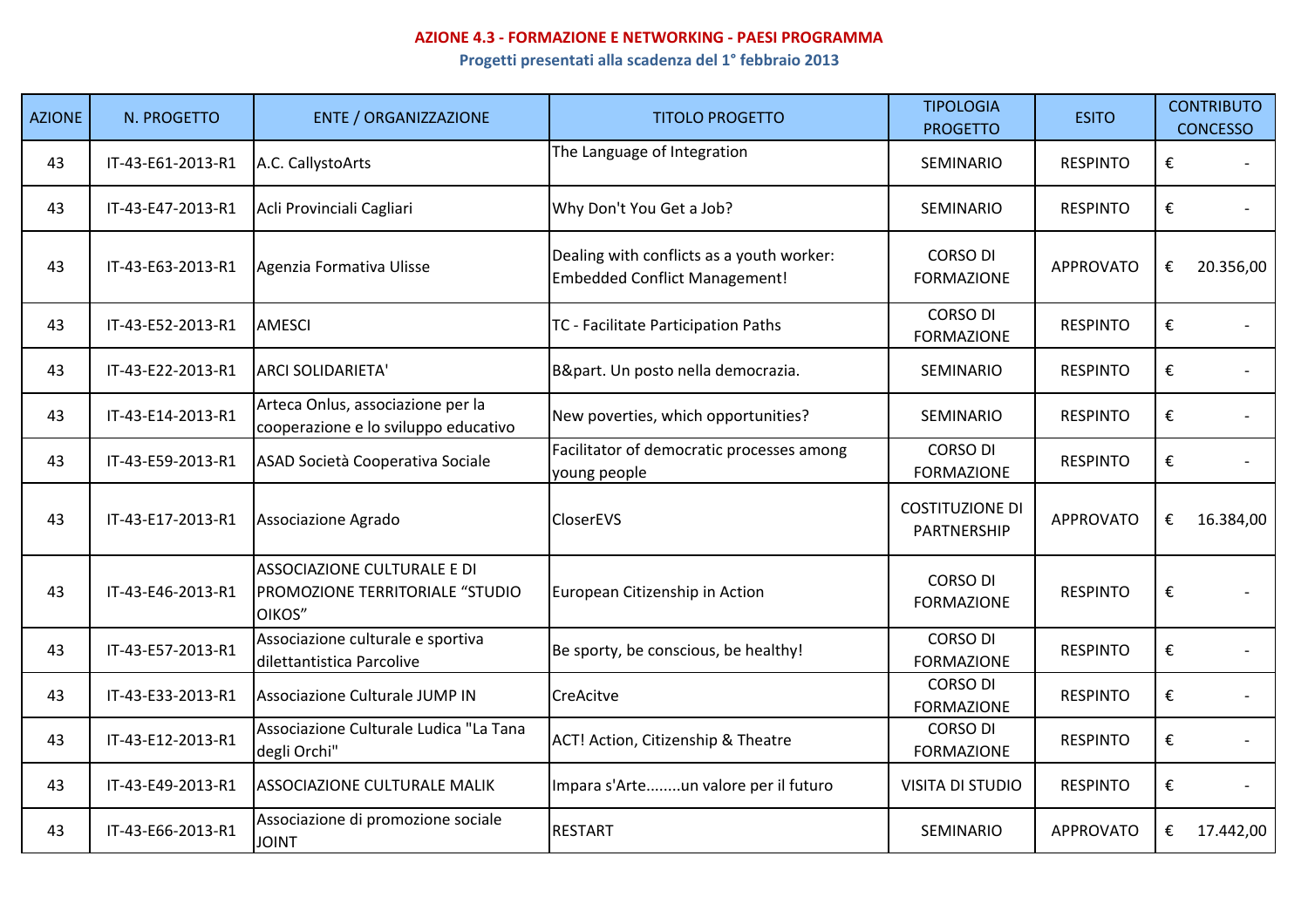## **AZIONE 4.3 - FORMAZIONE E NETWORKING - PAESI PROGRAMMA**

**Progetti presentati alla scadenza del 1° febbraio 2013**

| <b>AZIONE</b> | N. PROGETTO       | <b>ENTE / ORGANIZZAZIONE</b>                                              | <b>TITOLO PROGETTO</b>                                                            | <b>TIPOLOGIA</b><br><b>PROGETTO</b>   | <b>ESITO</b>     |   | <b>CONTRIBUTO</b><br><b>CONCESSO</b> |
|---------------|-------------------|---------------------------------------------------------------------------|-----------------------------------------------------------------------------------|---------------------------------------|------------------|---|--------------------------------------|
| 43            | IT-43-E61-2013-R1 | A.C. CallystoArts                                                         | The Language of Integration                                                       | SEMINARIO                             | <b>RESPINTO</b>  | € |                                      |
| 43            | IT-43-E47-2013-R1 | Acli Provinciali Cagliari                                                 | Why Don't You Get a Job?                                                          | SEMINARIO                             | <b>RESPINTO</b>  | € |                                      |
| 43            | IT-43-E63-2013-R1 | Agenzia Formativa Ulisse                                                  | Dealing with conflicts as a youth worker:<br><b>Embedded Conflict Management!</b> | <b>CORSO DI</b><br><b>FORMAZIONE</b>  | <b>APPROVATO</b> | € | 20.356,00                            |
| 43            | IT-43-E52-2013-R1 | <b>AMESCI</b>                                                             | TC - Facilitate Participation Paths                                               | <b>CORSO DI</b><br><b>FORMAZIONE</b>  | <b>RESPINTO</b>  | € |                                      |
| 43            | IT-43-E22-2013-R1 | <b>ARCI SOLIDARIETA'</b>                                                  | B&part. Un posto nella democrazia.                                                | SEMINARIO                             | <b>RESPINTO</b>  | € |                                      |
| 43            | IT-43-E14-2013-R1 | Arteca Onlus, associazione per la<br>cooperazione e lo sviluppo educativo | New poverties, which opportunities?                                               | SEMINARIO                             | <b>RESPINTO</b>  | € |                                      |
| 43            | IT-43-E59-2013-R1 | ASAD Società Cooperativa Sociale                                          | Facilitator of democratic processes among<br>young people                         | <b>CORSO DI</b><br><b>FORMAZIONE</b>  | <b>RESPINTO</b>  | € |                                      |
| 43            | IT-43-E17-2013-R1 | Associazione Agrado                                                       | <b>CloserEVS</b>                                                                  | <b>COSTITUZIONE DI</b><br>PARTNERSHIP | <b>APPROVATO</b> | € | 16.384,00                            |
| 43            | IT-43-E46-2013-R1 | ASSOCIAZIONE CULTURALE E DI<br>PROMOZIONE TERRITORIALE "STUDIO<br>OIKOS"  | European Citizenship in Action                                                    | <b>CORSO DI</b><br><b>FORMAZIONE</b>  | <b>RESPINTO</b>  | € |                                      |
| 43            | IT-43-E57-2013-R1 | Associazione culturale e sportiva<br>dilettantistica Parcolive            | Be sporty, be conscious, be healthy!                                              | <b>CORSO DI</b><br><b>FORMAZIONE</b>  | <b>RESPINTO</b>  | € |                                      |
| 43            | IT-43-E33-2013-R1 | Associazione Culturale JUMP IN                                            | CreAcitve                                                                         | <b>CORSO DI</b><br><b>FORMAZIONE</b>  | <b>RESPINTO</b>  | € |                                      |
| 43            | IT-43-E12-2013-R1 | Associazione Culturale Ludica "La Tana<br>degli Orchi"                    | ACT! Action, Citizenship & Theatre                                                | <b>CORSO DI</b><br><b>FORMAZIONE</b>  | <b>RESPINTO</b>  | € |                                      |
| 43            | IT-43-E49-2013-R1 | <b>ASSOCIAZIONE CULTURALE MALIK</b>                                       | Impara s'Arteun valore per il futuro                                              | <b>VISITA DI STUDIO</b>               | <b>RESPINTO</b>  | € |                                      |
| 43            | IT-43-E66-2013-R1 | Associazione di promozione sociale<br><b>JOINT</b>                        | <b>RESTART</b>                                                                    | SEMINARIO                             | <b>APPROVATO</b> | € | 17.442,00                            |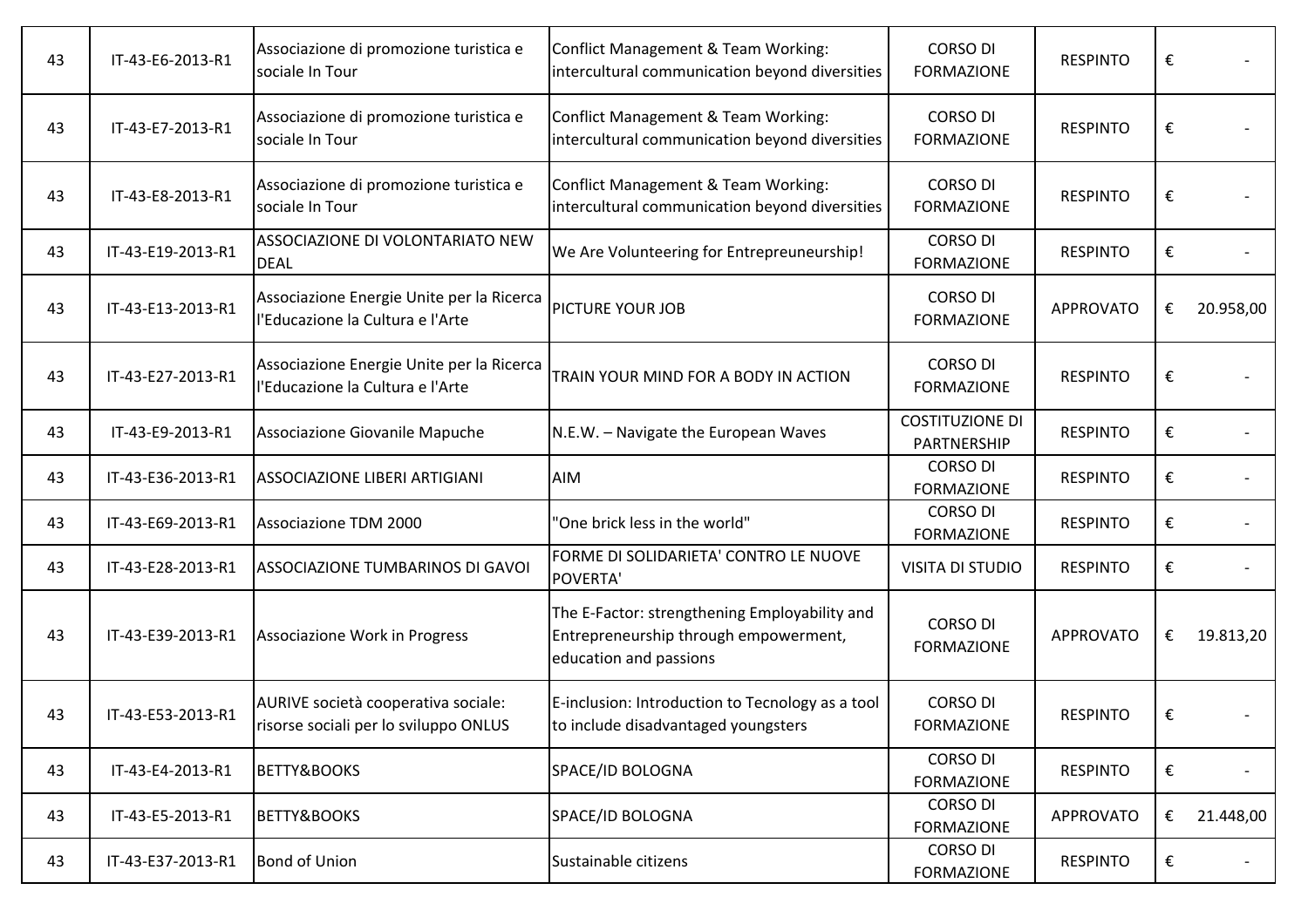| 43 | IT-43-E6-2013-R1  | Associazione di promozione turistica e<br>sociale In Tour                     | <b>Conflict Management &amp; Team Working:</b><br>intercultural communication beyond diversities                 | <b>CORSO DI</b><br><b>FORMAZIONE</b>  | <b>RESPINTO</b>  | € |           |
|----|-------------------|-------------------------------------------------------------------------------|------------------------------------------------------------------------------------------------------------------|---------------------------------------|------------------|---|-----------|
| 43 | IT-43-E7-2013-R1  | Associazione di promozione turistica e<br>sociale In Tour                     | <b>Conflict Management &amp; Team Working:</b><br>intercultural communication beyond diversities                 | <b>CORSO DI</b><br><b>FORMAZIONE</b>  | <b>RESPINTO</b>  | € |           |
| 43 | IT-43-E8-2013-R1  | Associazione di promozione turistica e<br>sociale In Tour                     | Conflict Management & Team Working:<br>intercultural communication beyond diversities                            | <b>CORSO DI</b><br><b>FORMAZIONE</b>  | <b>RESPINTO</b>  | € |           |
| 43 | IT-43-E19-2013-R1 | ASSOCIAZIONE DI VOLONTARIATO NEW<br><b>DEAL</b>                               | We Are Volunteering for Entrepreuneurship!                                                                       | <b>CORSO DI</b><br><b>FORMAZIONE</b>  | <b>RESPINTO</b>  | € |           |
| 43 | IT-43-E13-2013-R1 | Associazione Energie Unite per la Ricerca<br>l'Educazione la Cultura e l'Arte | PICTURE YOUR JOB                                                                                                 | <b>CORSO DI</b><br><b>FORMAZIONE</b>  | <b>APPROVATO</b> | € | 20.958,00 |
| 43 | IT-43-E27-2013-R1 | Associazione Energie Unite per la Ricerca<br>l'Educazione la Cultura e l'Arte | TRAIN YOUR MIND FOR A BODY IN ACTION                                                                             | <b>CORSO DI</b><br><b>FORMAZIONE</b>  | <b>RESPINTO</b>  | € |           |
| 43 | IT-43-E9-2013-R1  | Associazione Giovanile Mapuche                                                | N.E.W. - Navigate the European Waves                                                                             | <b>COSTITUZIONE DI</b><br>PARTNERSHIP | <b>RESPINTO</b>  | € |           |
| 43 | IT-43-E36-2013-R1 | ASSOCIAZIONE LIBERI ARTIGIANI                                                 | AIM                                                                                                              | <b>CORSO DI</b><br><b>FORMAZIONE</b>  | <b>RESPINTO</b>  | € |           |
| 43 | IT-43-E69-2013-R1 | Associazione TDM 2000                                                         | 'One brick less in the world"                                                                                    | <b>CORSO DI</b><br><b>FORMAZIONE</b>  | <b>RESPINTO</b>  | € |           |
| 43 | IT-43-E28-2013-R1 | ASSOCIAZIONE TUMBARINOS DI GAVOI                                              | FORME DI SOLIDARIETA' CONTRO LE NUOVE<br>POVERTA'                                                                | <b>VISITA DI STUDIO</b>               | <b>RESPINTO</b>  | € |           |
| 43 | IT-43-E39-2013-R1 | Associazione Work in Progress                                                 | The E-Factor: strengthening Employability and<br>Entrepreneurship through empowerment,<br>education and passions | <b>CORSO DI</b><br><b>FORMAZIONE</b>  | <b>APPROVATO</b> | € | 19.813,20 |
| 43 | IT-43-E53-2013-R1 | AURIVE società cooperativa sociale:<br>risorse sociali per lo sviluppo ONLUS  | E-inclusion: Introduction to Tecnology as a tool<br>to include disadvantaged youngsters                          | <b>CORSO DI</b><br><b>FORMAZIONE</b>  | <b>RESPINTO</b>  | € |           |
| 43 | IT-43-E4-2013-R1  | BETTY&BOOKS                                                                   | SPACE/ID BOLOGNA                                                                                                 | <b>CORSO DI</b><br><b>FORMAZIONE</b>  | <b>RESPINTO</b>  | € |           |
| 43 | IT-43-E5-2013-R1  | BETTY&BOOKS                                                                   | SPACE/ID BOLOGNA                                                                                                 | <b>CORSO DI</b><br><b>FORMAZIONE</b>  | <b>APPROVATO</b> | € | 21.448,00 |
| 43 | IT-43-E37-2013-R1 | <b>Bond of Union</b>                                                          | Sustainable citizens                                                                                             | <b>CORSO DI</b><br><b>FORMAZIONE</b>  | <b>RESPINTO</b>  | € |           |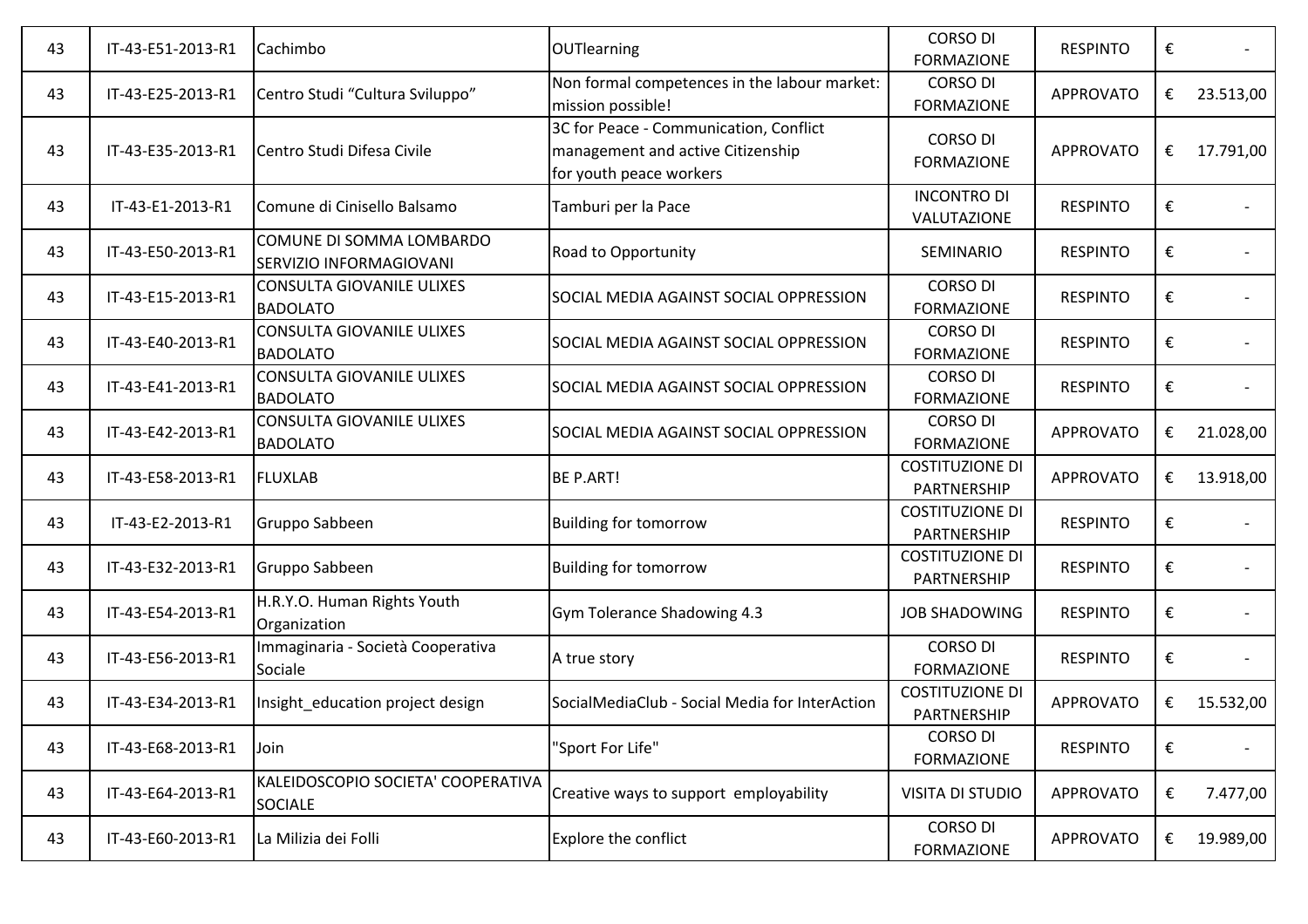| 43 | IT-43-E51-2013-R1 | Cachimbo                                             | <b>OUTlearning</b>                                                                                     | <b>CORSO DI</b><br><b>FORMAZIONE</b>  | <b>RESPINTO</b>  | € |           |
|----|-------------------|------------------------------------------------------|--------------------------------------------------------------------------------------------------------|---------------------------------------|------------------|---|-----------|
| 43 | IT-43-E25-2013-R1 | Centro Studi "Cultura Sviluppo"                      | Non formal competences in the labour market:<br>mission possible!                                      | <b>CORSO DI</b><br><b>FORMAZIONE</b>  | <b>APPROVATO</b> | € | 23.513,00 |
| 43 | IT-43-E35-2013-R1 | Centro Studi Difesa Civile                           | 3C for Peace - Communication, Conflict<br>management and active Citizenship<br>for youth peace workers | <b>CORSO DI</b><br><b>FORMAZIONE</b>  | <b>APPROVATO</b> | € | 17.791,00 |
| 43 | IT-43-E1-2013-R1  | Comune di Cinisello Balsamo                          | Tamburi per la Pace                                                                                    | <b>INCONTRO DI</b><br>VALUTAZIONE     | <b>RESPINTO</b>  | € |           |
| 43 | IT-43-E50-2013-R1 | COMUNE DI SOMMA LOMBARDO<br>SERVIZIO INFORMAGIOVANI  | Road to Opportunity                                                                                    | SEMINARIO                             | <b>RESPINTO</b>  | € |           |
| 43 | IT-43-E15-2013-R1 | <b>CONSULTA GIOVANILE ULIXES</b><br><b>BADOLATO</b>  | SOCIAL MEDIA AGAINST SOCIAL OPPRESSION                                                                 | <b>CORSO DI</b><br><b>FORMAZIONE</b>  | <b>RESPINTO</b>  | € |           |
| 43 | IT-43-E40-2013-R1 | <b>CONSULTA GIOVANILE ULIXES</b><br><b>BADOLATO</b>  | SOCIAL MEDIA AGAINST SOCIAL OPPRESSION                                                                 | <b>CORSO DI</b><br><b>FORMAZIONE</b>  | <b>RESPINTO</b>  | € |           |
| 43 | IT-43-E41-2013-R1 | <b>CONSULTA GIOVANILE ULIXES</b><br><b>BADOLATO</b>  | SOCIAL MEDIA AGAINST SOCIAL OPPRESSION                                                                 | <b>CORSO DI</b><br><b>FORMAZIONE</b>  | <b>RESPINTO</b>  | € |           |
| 43 | IT-43-E42-2013-R1 | <b>CONSULTA GIOVANILE ULIXES</b><br><b>BADOLATO</b>  | SOCIAL MEDIA AGAINST SOCIAL OPPRESSION                                                                 | <b>CORSO DI</b><br><b>FORMAZIONE</b>  | <b>APPROVATO</b> | € | 21.028,00 |
| 43 | IT-43-E58-2013-R1 | <b>FLUXLAB</b>                                       | <b>BE P.ART!</b>                                                                                       | <b>COSTITUZIONE DI</b><br>PARTNERSHIP | <b>APPROVATO</b> | € | 13.918,00 |
| 43 | IT-43-E2-2013-R1  | Gruppo Sabbeen                                       | <b>Building for tomorrow</b>                                                                           | <b>COSTITUZIONE DI</b><br>PARTNERSHIP | <b>RESPINTO</b>  | € |           |
| 43 | IT-43-E32-2013-R1 | Gruppo Sabbeen                                       | <b>Building for tomorrow</b>                                                                           | <b>COSTITUZIONE DI</b><br>PARTNERSHIP | <b>RESPINTO</b>  | € |           |
| 43 | IT-43-E54-2013-R1 | H.R.Y.O. Human Rights Youth<br>Organization          | Gym Tolerance Shadowing 4.3                                                                            | <b>JOB SHADOWING</b>                  | <b>RESPINTO</b>  | € |           |
| 43 | IT-43-E56-2013-R1 | Immaginaria - Società Cooperativa<br>Sociale         | A true story                                                                                           | <b>CORSO DI</b><br><b>FORMAZIONE</b>  | <b>RESPINTO</b>  | € |           |
| 43 | IT-43-E34-2013-R1 | Insight education project design                     | SocialMediaClub - Social Media for InterAction                                                         | <b>COSTITUZIONE DI</b><br>PARTNERSHIP | <b>APPROVATO</b> | € | 15.532,00 |
| 43 | IT-43-E68-2013-R1 | Join                                                 | "Sport For Life"                                                                                       | <b>CORSO DI</b><br><b>FORMAZIONE</b>  | <b>RESPINTO</b>  | € |           |
| 43 | IT-43-E64-2013-R1 | KALEIDOSCOPIO SOCIETA' COOPERATIVA<br><b>SOCIALE</b> | Creative ways to support employability                                                                 | <b>VISITA DI STUDIO</b>               | <b>APPROVATO</b> | € | 7.477,00  |
| 43 | IT-43-E60-2013-R1 | La Milizia dei Folli                                 | Explore the conflict                                                                                   | <b>CORSO DI</b><br><b>FORMAZIONE</b>  | <b>APPROVATO</b> | € | 19.989,00 |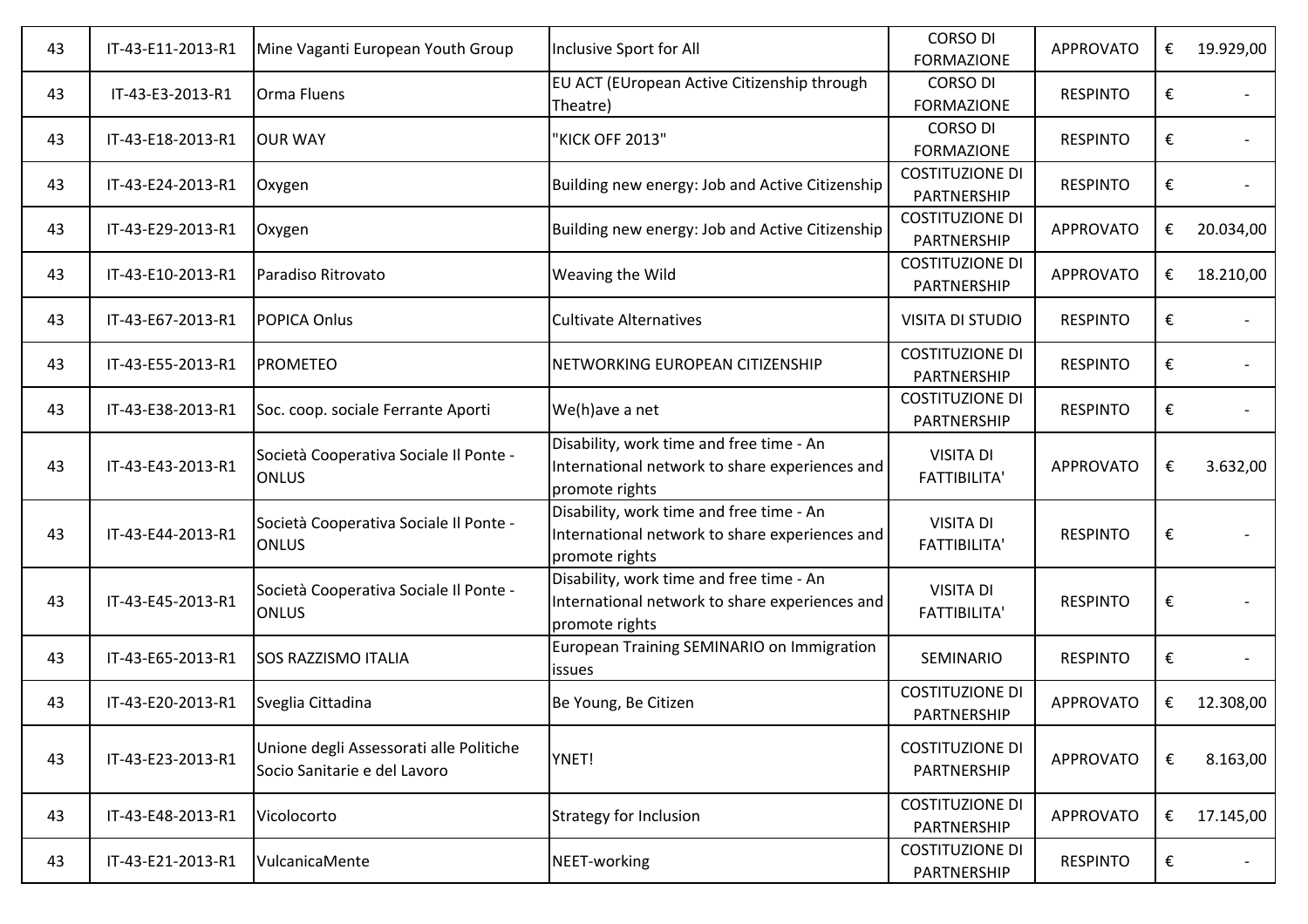| 43 | IT-43-E11-2013-R1 | Mine Vaganti European Youth Group                                       | Inclusive Sport for All                                                                                      | <b>CORSO DI</b><br><b>FORMAZIONE</b>    | <b>APPROVATO</b> | € | 19.929,00 |
|----|-------------------|-------------------------------------------------------------------------|--------------------------------------------------------------------------------------------------------------|-----------------------------------------|------------------|---|-----------|
| 43 | IT-43-E3-2013-R1  | <b>Orma Fluens</b>                                                      | EU ACT (EUropean Active Citizenship through<br>Theatre)                                                      | <b>CORSO DI</b><br><b>FORMAZIONE</b>    | <b>RESPINTO</b>  | € |           |
| 43 | IT-43-E18-2013-R1 | <b>OUR WAY</b>                                                          | "KICK OFF 2013"                                                                                              | <b>CORSO DI</b><br><b>FORMAZIONE</b>    | <b>RESPINTO</b>  | € |           |
| 43 | IT-43-E24-2013-R1 | Oxygen                                                                  | Building new energy: Job and Active Citizenship                                                              | <b>COSTITUZIONE DI</b><br>PARTNERSHIP   | <b>RESPINTO</b>  | € |           |
| 43 | IT-43-E29-2013-R1 | Oxygen                                                                  | Building new energy: Job and Active Citizenship                                                              | <b>COSTITUZIONE DI</b><br>PARTNERSHIP   | <b>APPROVATO</b> | € | 20.034,00 |
| 43 | IT-43-E10-2013-R1 | Paradiso Ritrovato                                                      | Weaving the Wild                                                                                             | <b>COSTITUZIONE DI</b><br>PARTNERSHIP   | <b>APPROVATO</b> | € | 18.210,00 |
| 43 | IT-43-E67-2013-R1 | POPICA Onlus                                                            | <b>Cultivate Alternatives</b>                                                                                | <b>VISITA DI STUDIO</b>                 | <b>RESPINTO</b>  | € |           |
| 43 | IT-43-E55-2013-R1 | <b>PROMETEO</b>                                                         | NETWORKING EUROPEAN CITIZENSHIP                                                                              | <b>COSTITUZIONE DI</b><br>PARTNERSHIP   | <b>RESPINTO</b>  | € |           |
| 43 | IT-43-E38-2013-R1 | Soc. coop. sociale Ferrante Aporti                                      | We(h)ave a net                                                                                               | <b>COSTITUZIONE DI</b><br>PARTNERSHIP   | <b>RESPINTO</b>  | € |           |
| 43 | IT-43-E43-2013-R1 | Società Cooperativa Sociale Il Ponte -<br><b>ONLUS</b>                  | Disability, work time and free time - An<br>International network to share experiences and<br>promote rights | <b>VISITA DI</b><br><b>FATTIBILITA'</b> | <b>APPROVATO</b> | € | 3.632,00  |
| 43 | IT-43-E44-2013-R1 | Società Cooperativa Sociale Il Ponte -<br><b>ONLUS</b>                  | Disability, work time and free time - An<br>International network to share experiences and<br>promote rights | <b>VISITA DI</b><br><b>FATTIBILITA'</b> | <b>RESPINTO</b>  | € |           |
| 43 | IT-43-E45-2013-R1 | Società Cooperativa Sociale Il Ponte -<br><b>ONLUS</b>                  | Disability, work time and free time - An<br>International network to share experiences and<br>promote rights | <b>VISITA DI</b><br><b>FATTIBILITA'</b> | <b>RESPINTO</b>  | € |           |
| 43 | IT-43-E65-2013-R1 | <b>SOS RAZZISMO ITALIA</b>                                              | European Training SEMINARIO on Immigration<br><i>issues</i>                                                  | SEMINARIO                               | <b>RESPINTO</b>  | € |           |
| 43 | IT-43-E20-2013-R1 | Sveglia Cittadina                                                       | Be Young, Be Citizen                                                                                         | <b>COSTITUZIONE DI</b><br>PARTNERSHIP   | <b>APPROVATO</b> | € | 12.308,00 |
| 43 | IT-43-E23-2013-R1 | Unione degli Assessorati alle Politiche<br>Socio Sanitarie e del Lavoro | YNET!                                                                                                        | <b>COSTITUZIONE DI</b><br>PARTNERSHIP   | <b>APPROVATO</b> | € | 8.163,00  |
| 43 | IT-43-E48-2013-R1 | Vicolocorto                                                             | <b>Strategy for Inclusion</b>                                                                                | <b>COSTITUZIONE DI</b><br>PARTNERSHIP   | <b>APPROVATO</b> | € | 17.145,00 |
| 43 | IT-43-E21-2013-R1 | VulcanicaMente                                                          | NEET-working                                                                                                 | <b>COSTITUZIONE DI</b><br>PARTNERSHIP   | <b>RESPINTO</b>  | € |           |